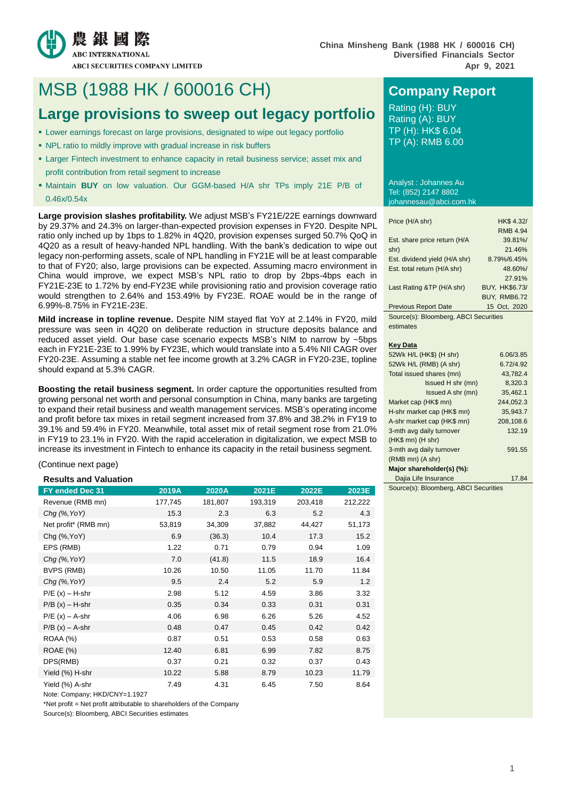

# MSB (1988 HK / 600016 CH) **Company Report**

# **Large provisions to sweep out legacy portfolio** Rating (A): BUY

- Lower earnings forecast on large provisions, designated to wipe out legacy portfolio
- NPL ratio to mildly improve with gradual increase in risk buffers
- Larger Fintech investment to enhance capacity in retail business service; asset mix and profit contribution from retail segment to increase
- Maintain **BUY** on low valuation. Our GGM-based H/A shr TPs imply 21E P/B of 0.46x/0.54x

**Large provision slashes profitability.** We adjust MSB's FY21E/22E earnings downward by 29.37% and 24.3% on larger-than-expected provision expenses in FY20. Despite NPL ratio only inched up by 1bps to 1.82% in 4Q20, provision expenses surged 50.7% QoQ in 4Q20 as a result of heavy-handed NPL handling. With the bank's dedication to wipe out legacy non-performing assets, scale of NPL handling in FY21E will be at least comparable to that of FY20; also, large provisions can be expected. Assuming macro environment in China would improve, we expect MSB's NPL ratio to drop by 2bps-4bps each in FY21E-23E to 1.72% by end-FY23E while provisioning ratio and provision coverage ratio would strengthen to 2.64% and 153.49% by FY23E. ROAE would be in the range of 6.99%-8.75% in FY21E-23E.

**Mild increase in topline revenue.** Despite NIM stayed flat YoY at 2.14% in FY20, mild pressure was seen in 4Q20 on deliberate reduction in structure deposits balance and reduced asset yield. Our base case scenario expects MSB's NIM to narrow by ~5bps each in FY21E-23E to 1.99% by FY23E, which would translate into a 5.4% NII CAGR over FY20-23E. Assuming a stable net fee income growth at 3.2% CAGR in FY20-23E, topline should expand at 5.3% CAGR.

**Boosting the retail business segment.** In order capture the opportunities resulted from growing personal net worth and personal consumption in China, many banks are targeting to expand their retail business and wealth management services. MSB's operating income and profit before tax mixes in retail segment increased from 37.8% and 38.2% in FY19 to 39.1% and 59.4% in FY20. Meanwhile, total asset mix of retail segment rose from 21.0% in FY19 to 23.1% in FY20. With the rapid acceleration in digitalization, we expect MSB to increase its investment in Fintech to enhance its capacity in the retail business segment.

(Continue next page)

#### **Results and Valuation**

| FY ended Dec 31      | 2019A   | 2020A   | 2021E   | 2022E   | 2023E   |
|----------------------|---------|---------|---------|---------|---------|
| Revenue (RMB mn)     | 177,745 | 181,807 | 193,319 | 203,418 | 212,222 |
| Chg (%, YoY)         | 15.3    | 2.3     | 6.3     | 5.2     | 4.3     |
| Net profit* (RMB mn) | 53,819  | 34,309  | 37,882  | 44,427  | 51,173  |
| Chg (%, YoY)         | 6.9     | (36.3)  | 10.4    | 17.3    | 15.2    |
| EPS (RMB)            | 1.22    | 0.71    | 0.79    | 0.94    | 1.09    |
| $Chq$ (%, YoY)       | 7.0     | (41.8)  | 11.5    | 18.9    | 16.4    |
| BVPS (RMB)           | 10.26   | 10.50   | 11.05   | 11.70   | 11.84   |
| Chg (%, YoY)         | 9.5     | 2.4     | 5.2     | 5.9     | 1.2     |
| $P/E(x) - H-shr$     | 2.98    | 5.12    | 4.59    | 3.86    | 3.32    |
| $P/B(x) - H-shr$     | 0.35    | 0.34    | 0.33    | 0.31    | 0.31    |
| $P/E(x) - A-shr$     | 4.06    | 6.98    | 6.26    | 5.26    | 4.52    |
| $P/B(x) - A-shr$     | 0.48    | 0.47    | 0.45    | 0.42    | 0.42    |
| <b>ROAA (%)</b>      | 0.87    | 0.51    | 0.53    | 0.58    | 0.63    |
| <b>ROAE</b> (%)      | 12.40   | 6.81    | 6.99    | 7.82    | 8.75    |
| DPS(RMB)             | 0.37    | 0.21    | 0.32    | 0.37    | 0.43    |
| Yield (%) H-shr      | 10.22   | 5.88    | 8.79    | 10.23   | 11.79   |
| Yield (%) A-shr      | 7.49    | 4.31    | 6.45    | 7.50    | 8.64    |

Note: Company; HKD/CNY=1.1927

\*Net profit = Net profit attributable to shareholders of the Company

Source(s): Bloomberg, ABCI Securities estimates

Rating (A): BUY TP (H): HK\$ 6.04 TP (A): RMB 6.00

Analyst : Johannes Au Tel: (852) 2147 8802 johannesau@abci.com.hk

| Price (H/A shr)               | HK\$ 4.32/          |
|-------------------------------|---------------------|
|                               | <b>RMB 4.94</b>     |
| Est. share price return (H/A  | 39.81%/             |
| shr)                          | 21.46%              |
| Est. dividend yield (H/A shr) | 8.79%/6.45%         |
| Est. total return (H/A shr)   | 48.60%/             |
|                               | 27.91%              |
| Last Rating &TP (H/A shr)     | BUY, HK\$6.73/      |
|                               | <b>BUY, RMB6.72</b> |
| <b>Previous Report Date</b>   | 15 Oct, 2020        |

Source(s): Bloomberg, ABCI Securities estimates

#### **Key Data**

| 52Wk H/L (HK\$) (H shr)    | 6.06/3.85 |
|----------------------------|-----------|
| 52Wk H/L (RMB) (A shr)     | 6.72/4.92 |
| Total issued shares (mn)   | 43.782.4  |
| Issued H shr (mn)          | 8.320.3   |
| Issued A shr (mn)          | 35,462.1  |
| Market cap (HK\$ mn)       | 244,052.3 |
| H-shr market cap (HK\$ mn) | 35.943.7  |
| A-shr market cap (HK\$ mn) | 208,108.6 |
| 3-mth avg daily turnover   | 132.19    |
| $(HK$$ mn) $(H$ shr)       |           |
| 3-mth avg daily turnover   | 591.55    |
| $(RMB$ mn $)(A$ shr $)$    |           |
| Major shareholder(s) (%):  |           |
| Dajia Life Insurance       | 17.84     |

Source(s): Bloomberg, ABCI Securities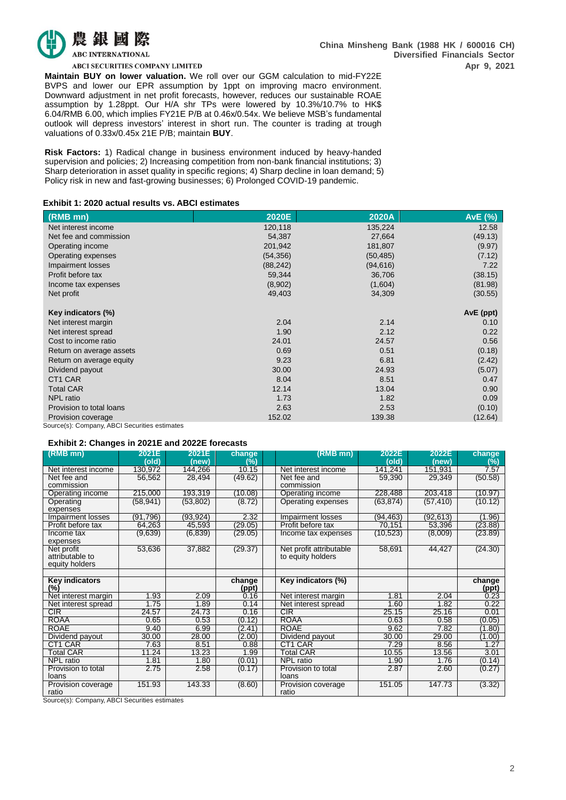

**ABCI SECURITIES COMPANY LIMITED** 

**Maintain BUY on lower valuation.** We roll over our GGM calculation to mid-FY22E BVPS and lower our EPR assumption by 1ppt on improving macro environment. Downward adjustment in net profit forecasts, however, reduces our sustainable ROAE assumption by 1.28ppt. Our H/A shr TPs were lowered by 10.3%/10.7% to HK\$ 6.04/RMB 6.00, which implies FY21E P/B at 0.46x/0.54x. We believe MSB's fundamental outlook will depress investors' interest in short run. The counter is trading at trough valuations of 0.33x/0.45x 21E P/B; maintain **BUY**.

**Risk Factors:** 1) Radical change in business environment induced by heavy-handed supervision and policies; 2) Increasing competition from non-bank financial institutions; 3) Sharp deterioration in asset quality in specific regions; 4) Sharp decline in loan demand; 5) Policy risk in new and fast-growing businesses; 6) Prolonged COVID-19 pandemic.

#### **Exhibit 1: 2020 actual results vs. ABCI estimates**

| (RMB mn)                                      | 2020E     | 2020A     | AvE (%)   |
|-----------------------------------------------|-----------|-----------|-----------|
| Net interest income                           | 120,118   | 135,224   | 12.58     |
| Net fee and commission                        | 54,387    | 27,664    | (49.13)   |
| Operating income                              | 201,942   | 181,807   | (9.97)    |
| Operating expenses                            | (54, 356) | (50, 485) | (7.12)    |
| Impairment losses                             | (88, 242) | (94, 616) | 7.22      |
| Profit before tax                             | 59,344    | 36,706    | (38.15)   |
| Income tax expenses                           | (8,902)   | (1,604)   | (81.98)   |
| Net profit                                    | 49,403    | 34,309    | (30.55)   |
|                                               |           |           |           |
| Key indicators (%)                            |           |           | AvE (ppt) |
| Net interest margin                           | 2.04      | 2.14      | 0.10      |
| Net interest spread                           | 1.90      | 2.12      | 0.22      |
| Cost to income ratio                          | 24.01     | 24.57     | 0.56      |
| Return on average assets                      | 0.69      | 0.51      | (0.18)    |
| Return on average equity                      | 9.23      | 6.81      | (2.42)    |
| Dividend payout                               | 30.00     | 24.93     | (5.07)    |
| CT1 CAR                                       | 8.04      | 8.51      | 0.47      |
| <b>Total CAR</b>                              | 12.14     | 13.04     | 0.90      |
| <b>NPL</b> ratio                              | 1.73      | 1.82      | 0.09      |
| Provision to total loans                      | 2.63      | 2.53      | (0.10)    |
| Provision coverage                            | 152.02    | 139.38    | (12.64)   |
| Source(s): Company, ABCI Securities estimates |           |           |           |

#### **Exhibit 2: Changes in 2021E and 2022E forecasts**

| (RMB mn)              | 2021E<br>(old)     | 2021E<br>(new) | change<br>(%) | $(RMB$ mn)              | 2022E<br>(old) | 2022E<br>(new) | change<br>(%) |
|-----------------------|--------------------|----------------|---------------|-------------------------|----------------|----------------|---------------|
| Net interest income   | 130,972            | 144,266        | 10.15         | Net interest income     | 141,241        | 151,931        | 7.57          |
| Net fee and           | 56,562             | 28,494         | (49.62)       | Net fee and             | 59,390         | 29,349         | (50.58)       |
| commission            |                    |                |               | commission              |                |                |               |
| Operating income      | 215,000            | 193,319        | (10.08)       | Operating income        | 228,488        | 203,418        | (10.97)       |
| Operating             | (58, 941)          | (53, 802)      | (8.72)        | Operating expenses      | (63, 874)      | (57, 410)      | (10.12)       |
| expenses              |                    |                |               |                         |                |                |               |
| Impairment losses     | (91, 796)          | (93, 924)      | 2.32          | Impairment losses       | (94, 463)      | (92, 613)      | (1.96)        |
| Profit before tax     | 64,263             | 45,593         | (29.05)       | Profit before tax       | 70,151         | 53,396         | (23.88)       |
| Income tax            | (9,639)            | (6, 839)       | (29.05)       | Income tax expenses     | (10, 523)      | (8,009)        | (23.89)       |
| expenses              |                    |                |               |                         |                |                |               |
| Net profit            | 53,636             | 37,882         | (29.37)       | Net profit attributable | 58,691         | 44,427         | (24.30)       |
| attributable to       |                    |                |               | to equity holders       |                |                |               |
| equity holders        |                    |                |               |                         |                |                |               |
|                       |                    |                |               |                         |                |                |               |
| <b>Key indicators</b> |                    |                | change        | Key indicators (%)      |                |                | change        |
| (%)                   |                    |                | (ppt)         |                         |                |                | (ppt)         |
| Net interest margin   | 1.93               | 2.09           | 0.16          | Net interest margin     | 1.81           | 2.04           | 0.23          |
| Net interest spread   | 1.75               | 1.89           | 0.14          | Net interest spread     | 1.60           | 1.82           | 0.22          |
| CIR                   | $24.\overline{57}$ | 24.73          | 0.16          | CIR                     | 25.15          | 25.16          | 0.01          |
| <b>ROAA</b>           | 0.65               | 0.53           | (0.12)        | <b>ROAA</b>             | 0.63           | 0.58           | (0.05)        |
| <b>ROAE</b>           | 9.40               | 6.99           | (2.41)        | <b>ROAE</b>             | 9.62           | 7.82           | (1.80)        |
| Dividend payout       | 30.00              | 28.00          | (2.00)        | Dividend payout         | 30.00          | 29.00          | (1.00)        |
| CT1 CAR               | 7.63               | 8.51           | 0.88          | CT1 CAR                 | 7.29           | 8.56           | 1.27          |
| Total CAR             | 11.24              | 13.23          | 1.99          | Total CAR               | 10.55          | 13.56          | 3.01          |
| NPL ratio             | 1.81               | 1.80           | (0.01)        | <b>NPL</b> ratio        | 1.90           | 1.76           | (0.14)        |
| Provision to total    | 2.75               | 2.58           | (0.17)        | Provision to total      | 2.87           | 2.60           | (0.27)        |
| loans                 |                    |                |               | loans                   |                |                |               |
| Provision coverage    | 151.93             | 143.33         | (8.60)        | Provision coverage      | 151.05         | 147.73         | (3.32)        |
| ratio                 |                    |                |               | ratio                   |                |                |               |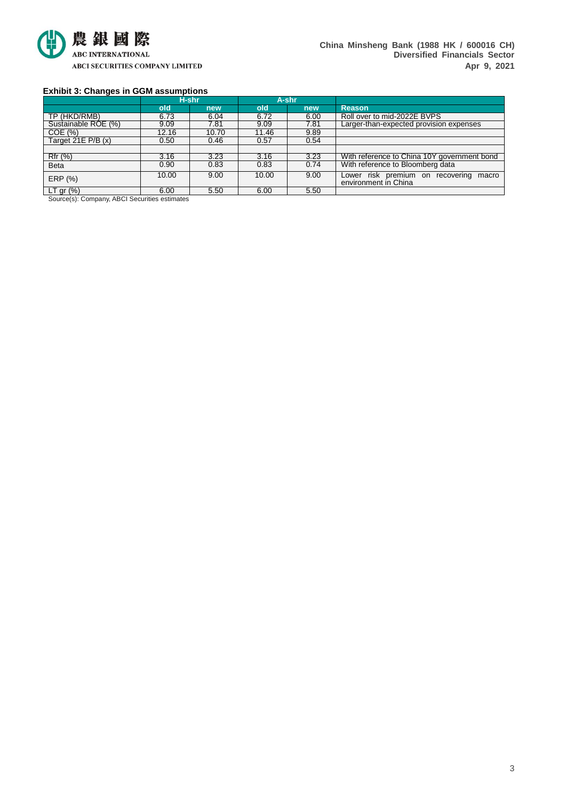

### **Exhibit 3: Changes in GGM assumptions**

|                        |       | H-shr |       | A-shr |                                                                         |
|------------------------|-------|-------|-------|-------|-------------------------------------------------------------------------|
|                        | old   | new   | old   | new   | <b>Reason</b>                                                           |
| TP (HKD/RMB)           | 6.73  | 6.04  | 6.72  | 6.00  | Roll over to mid-2022E BVPS                                             |
| Sustainable ROE (%)    | 9.09  | 7.81  | 9.09  | 7.81  | Larger-than-expected provision expenses                                 |
| COE(%)                 | 12.16 | 10.70 | 11.46 | 9.89  |                                                                         |
| Target 21E $P/B(x)$    | 0.50  | 0.46  | 0.57  | 0.54  |                                                                         |
|                        |       |       |       |       |                                                                         |
| Rfr (%)                | 3.16  | 3.23  | 3.16  | 3.23  | With reference to China 10Y government bond                             |
| <b>Beta</b>            | 0.90  | 0.83  | 0.83  | 0.74  | With reference to Bloomberg data                                        |
| ERP (%)                | 10.00 | 9.00  | 10.00 | 9.00  | risk premium on<br>Lower<br>recovering<br>macro<br>environment in China |
| LT gr $(\%)$<br>.<br>. | 6.00  | 5.50  | 6.00  | 5.50  |                                                                         |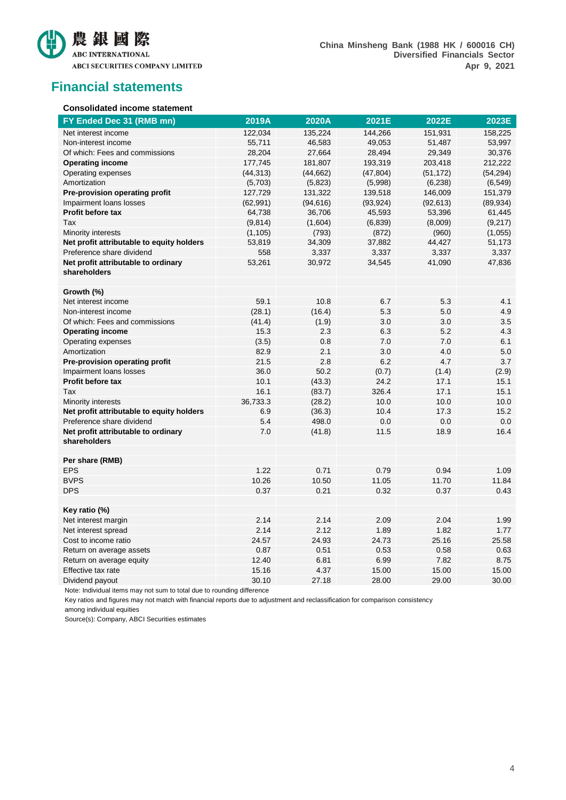

**China Minsheng Bank (1988 HK / 600016 CH) Diversified Financials Sector Apr 9, 2021**

## **Financial statements**

#### **Consolidated income statement**

| FY Ended Dec 31 (RMB mn)                  | 2019A     | 2020A     | 2021E     | 2022E     | 2023E     |
|-------------------------------------------|-----------|-----------|-----------|-----------|-----------|
| Net interest income                       | 122,034   | 135,224   | 144,266   | 151,931   | 158,225   |
| Non-interest income                       | 55,711    | 46,583    | 49,053    | 51,487    | 53,997    |
| Of which: Fees and commissions            | 28,204    | 27,664    | 28,494    | 29,349    | 30,376    |
| <b>Operating income</b>                   | 177,745   | 181,807   | 193,319   | 203,418   | 212,222   |
| Operating expenses                        | (44, 313) | (44, 662) | (47, 804) | (51, 172) | (54, 294) |
| Amortization                              | (5,703)   | (5,823)   | (5,998)   | (6, 238)  | (6, 549)  |
| Pre-provision operating profit            | 127,729   | 131,322   | 139,518   | 146,009   | 151,379   |
| Impairment loans losses                   | (62, 991) | (94, 616) | (93, 924) | (92, 613) | (89, 934) |
| Profit before tax                         | 64,738    | 36,706    | 45,593    | 53,396    | 61,445    |
| Tax                                       | (9,814)   | (1,604)   | (6, 839)  | (8,009)   | (9, 217)  |
| Minority interests                        | (1, 105)  | (793)     | (872)     | (960)     | (1,055)   |
| Net profit attributable to equity holders | 53,819    | 34,309    | 37,882    | 44,427    | 51,173    |
| Preference share dividend                 | 558       | 3,337     | 3,337     | 3,337     | 3,337     |
| Net profit attributable to ordinary       | 53,261    | 30,972    | 34,545    | 41,090    | 47,836    |
| shareholders                              |           |           |           |           |           |
|                                           |           |           |           |           |           |
| Growth (%)                                |           |           |           |           |           |
| Net interest income                       | 59.1      | 10.8      | 6.7       | 5.3       | 4.1       |
| Non-interest income                       | (28.1)    | (16.4)    | 5.3       | 5.0       | 4.9       |
| Of which: Fees and commissions            | (41.4)    | (1.9)     | 3.0       | 3.0       | 3.5       |
| <b>Operating income</b>                   | 15.3      | 2.3       | 6.3       | 5.2       | 4.3       |
| Operating expenses                        | (3.5)     | 0.8       | 7.0       | 7.0       | 6.1       |
| Amortization                              | 82.9      | 2.1       | 3.0       | 4.0       | 5.0       |
| Pre-provision operating profit            | 21.5      | 2.8       | 6.2       | 4.7       | 3.7       |
| Impairment loans losses                   | 36.0      | 50.2      | (0.7)     | (1.4)     | (2.9)     |
| Profit before tax                         | 10.1      | (43.3)    | 24.2      | 17.1      | 15.1      |
| Tax                                       | 16.1      | (83.7)    | 326.4     | 17.1      | 15.1      |
| Minority interests                        | 36,733.3  | (28.2)    | 10.0      | 10.0      | 10.0      |
| Net profit attributable to equity holders | 6.9       | (36.3)    | 10.4      | 17.3      | 15.2      |
| Preference share dividend                 | 5.4       | 498.0     | 0.0       | 0.0       | 0.0       |
| Net profit attributable to ordinary       | 7.0       | (41.8)    | 11.5      | 18.9      | 16.4      |
| shareholders                              |           |           |           |           |           |
|                                           |           |           |           |           |           |
| Per share (RMB)                           |           |           |           |           |           |
| <b>EPS</b>                                | 1.22      | 0.71      | 0.79      | 0.94      | 1.09      |
| <b>BVPS</b>                               | 10.26     | 10.50     | 11.05     | 11.70     | 11.84     |
| <b>DPS</b>                                | 0.37      | 0.21      | 0.32      | 0.37      | 0.43      |
| Key ratio (%)                             |           |           |           |           |           |
| Net interest margin                       | 2.14      | 2.14      | 2.09      | 2.04      | 1.99      |
| Net interest spread                       | 2.14      | 2.12      | 1.89      | 1.82      | 1.77      |
| Cost to income ratio                      | 24.57     | 24.93     | 24.73     | 25.16     | 25.58     |
| Return on average assets                  | 0.87      | 0.51      | 0.53      | 0.58      | 0.63      |
| Return on average equity                  | 12.40     | 6.81      | 6.99      | 7.82      | 8.75      |
| Effective tax rate                        | 15.16     | 4.37      | 15.00     | 15.00     | 15.00     |
| Dividend payout                           | 30.10     | 27.18     | 28.00     | 29.00     | 30.00     |
|                                           |           |           |           |           |           |

Note: Individual items may not sum to total due to rounding difference

Key ratios and figures may not match with financial reports due to adjustment and reclassification for comparison consistency among individual equities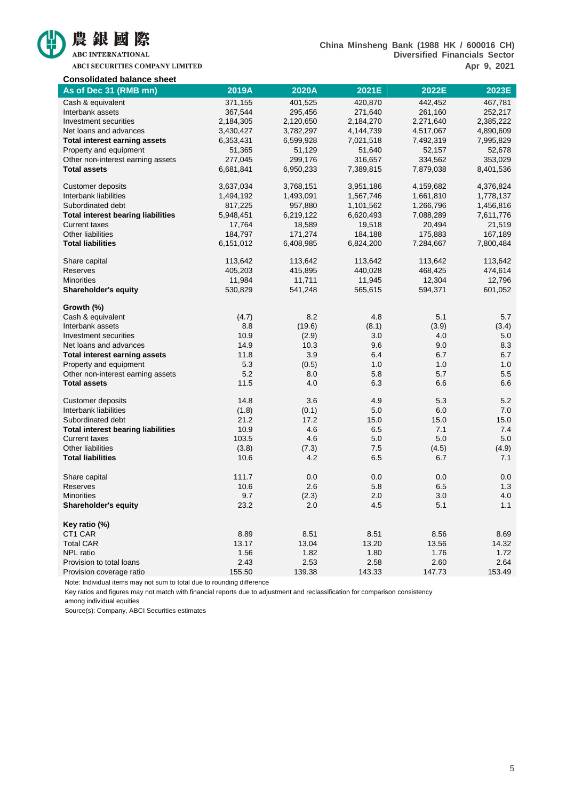

ABCI SECURITIES COMPANY LIMITED

| <b>Consolidated balance sheet</b>         |           |           |           |           |           |
|-------------------------------------------|-----------|-----------|-----------|-----------|-----------|
| As of Dec 31 (RMB mn)                     | 2019A     | 2020A     | 2021E     | 2022E     | 2023E     |
| Cash & equivalent                         | 371,155   | 401,525   | 420,870   | 442,452   | 467,781   |
| Interbank assets                          | 367,544   | 295,456   | 271,640   | 261,160   | 252,217   |
| Investment securities                     | 2,184,305 | 2,120,650 | 2,184,270 | 2,271,640 | 2,385,222 |
| Net loans and advances                    | 3,430,427 | 3,782,297 | 4,144,739 | 4,517,067 | 4,890,609 |
| <b>Total interest earning assets</b>      | 6,353,431 | 6,599,928 | 7,021,518 | 7,492,319 | 7,995,829 |
| Property and equipment                    | 51,365    | 51,129    | 51,640    | 52,157    | 52,678    |
| Other non-interest earning assets         | 277,045   | 299,176   | 316,657   | 334,562   | 353,029   |
| <b>Total assets</b>                       | 6,681,841 | 6,950,233 | 7,389,815 | 7,879,038 | 8,401,536 |
| <b>Customer deposits</b>                  | 3,637,034 | 3,768,151 | 3,951,186 | 4,159,682 | 4,376,824 |
| Interbank liabilities                     | 1,494,192 | 1,493,091 | 1,567,746 | 1,661,810 | 1,778,137 |
| Subordinated debt                         | 817,225   | 957,880   | 1,101,562 | 1,266,796 | 1,456,816 |
| <b>Total interest bearing liabilities</b> | 5,948,451 | 6,219,122 | 6,620,493 | 7,088,289 | 7,611,776 |
| <b>Current taxes</b>                      | 17,764    | 18,589    | 19,518    | 20,494    | 21,519    |
| Other liabilities                         | 184,797   | 171,274   | 184,188   | 175,883   | 167,189   |
| <b>Total liabilities</b>                  | 6,151,012 | 6,408,985 | 6,824,200 | 7,284,667 | 7,800,484 |
| Share capital                             | 113,642   | 113,642   | 113,642   | 113,642   | 113,642   |
| <b>Reserves</b>                           | 405,203   | 415,895   | 440,028   | 468,425   | 474,614   |
| <b>Minorities</b>                         | 11,984    | 11,711    | 11,945    | 12,304    | 12,796    |
| <b>Shareholder's equity</b>               | 530,829   | 541,248   | 565,615   | 594,371   | 601,052   |
| Growth (%)                                |           |           |           |           |           |
| Cash & equivalent                         | (4.7)     | 8.2       | 4.8       | 5.1       | 5.7       |
| Interbank assets                          | 8.8       | (19.6)    | (8.1)     | (3.9)     | (3.4)     |
| Investment securities                     | 10.9      | (2.9)     | 3.0       | 4.0       | 5.0       |
| Net loans and advances                    | 14.9      | 10.3      | 9.6       | 9.0       | 8.3       |
| <b>Total interest earning assets</b>      | 11.8      | 3.9       | 6.4       | 6.7       | 6.7       |
| Property and equipment                    | 5.3       | (0.5)     | 1.0       | 1.0       | 1.0       |
| Other non-interest earning assets         | 5.2       | 8.0       | 5.8       | 5.7       | 5.5       |
| <b>Total assets</b>                       | 11.5      | 4.0       | 6.3       | 6.6       | 6.6       |
| Customer deposits                         | 14.8      | 3.6       | 4.9       | 5.3       | 5.2       |
| Interbank liabilities                     | (1.8)     | (0.1)     | 5.0       | 6.0       | 7.0       |
| Subordinated debt                         | 21.2      | 17.2      | 15.0      | 15.0      | 15.0      |
| <b>Total interest bearing liabilities</b> | 10.9      | 4.6       | 6.5       | 7.1       | 7.4       |
| <b>Current taxes</b>                      | 103.5     | 4.6       | 5.0       | 5.0       | 5.0       |
| Other liabilities                         | (3.8)     | (7.3)     | 7.5       | (4.5)     | (4.9)     |
| <b>Total liabilities</b>                  | 10.6      | 4.2       | 6.5       | 6.7       | 7.1       |
| Share capital                             | 111.7     | 0.0       | 0.0       | 0.0       | 0.0       |
| Reserves                                  | 10.6      | 2.6       | 5.8       | 6.5       | 1.3       |
| <b>Minorities</b>                         | 9.7       | (2.3)     | 2.0       | 3.0       | 4.0       |
| <b>Shareholder's equity</b>               | 23.2      | 2.0       | 4.5       | 5.1       | 1.1       |
| Key ratio (%)                             |           |           |           |           |           |
| CT1 CAR                                   | 8.89      | 8.51      | 8.51      | 8.56      | 8.69      |
| <b>Total CAR</b>                          | 13.17     | 13.04     | 13.20     | 13.56     | 14.32     |
| NPL ratio                                 | 1.56      | 1.82      | 1.80      | 1.76      | 1.72      |
| Provision to total loans                  | 2.43      | 2.53      | 2.58      | 2.60      | 2.64      |
| Provision coverage ratio                  | 155.50    | 139.38    | 143.33    | 147.73    | 153.49    |

Note: Individual items may not sum to total due to rounding difference

Key ratios and figures may not match with financial reports due to adjustment and reclassification for comparison consistency

among individual equities